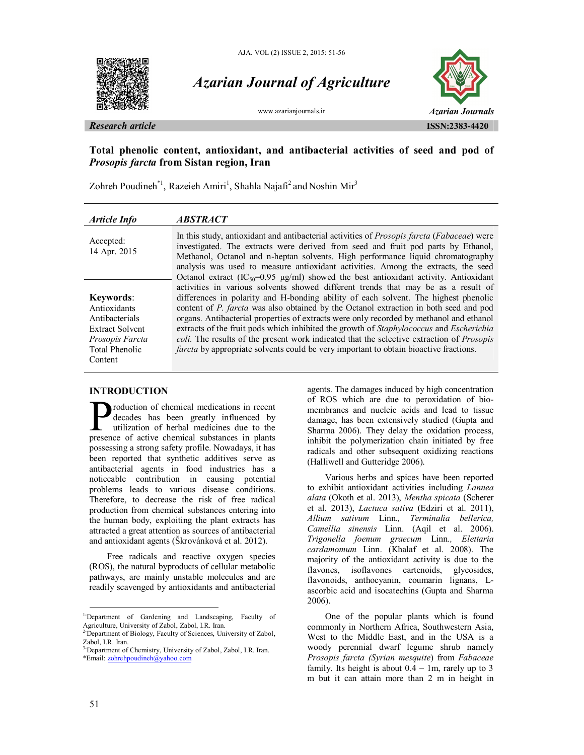



# *Azarian Journal of Agriculture*



# **Total phenolic content, antioxidant, and antibacterial activities of seed and pod of**  *Prosopis farcta* **from Sistan region, Iran**

Zohreh Poudineh<sup>\*1</sup>, Razeieh Amiri<sup>1</sup>, Shahla Najafi<sup>2</sup> and Noshin Mir<sup>3</sup>

| Article Info              | <b>ABSTRACT</b>                                                                                                                                                                                                                                                                                                                                                                                                                                                                  |
|---------------------------|----------------------------------------------------------------------------------------------------------------------------------------------------------------------------------------------------------------------------------------------------------------------------------------------------------------------------------------------------------------------------------------------------------------------------------------------------------------------------------|
| Accepted:<br>14 Apr. 2015 | In this study, antioxidant and antibacterial activities of <i>Prosopis farcta</i> ( <i>Fabaceae</i> ) were<br>investigated. The extracts were derived from seed and fruit pod parts by Ethanol,<br>Methanol, Octanol and n-heptan solvents. High performance liquid chromatography<br>analysis was used to measure antioxidant activities. Among the extracts, the seed<br>Octanol extract (IC <sub>50</sub> =0.95 $\mu$ g/ml) showed the best antioxidant activity. Antioxidant |
|                           | activities in various solvents showed different trends that may be as a result of                                                                                                                                                                                                                                                                                                                                                                                                |
| <b>Keywords:</b>          | differences in polarity and H-bonding ability of each solvent. The highest phenolic                                                                                                                                                                                                                                                                                                                                                                                              |
| Antioxidants              | content of P. farcta was also obtained by the Octanol extraction in both seed and pod                                                                                                                                                                                                                                                                                                                                                                                            |
| Antibacterials            | organs. Antibacterial properties of extracts were only recorded by methanol and ethanol                                                                                                                                                                                                                                                                                                                                                                                          |
| <b>Extract Solvent</b>    | extracts of the fruit pods which inhibited the growth of Staphylococcus and Escherichia                                                                                                                                                                                                                                                                                                                                                                                          |
| Prosopis Farcta           | coli. The results of the present work indicated that the selective extraction of <i>Prosopis</i>                                                                                                                                                                                                                                                                                                                                                                                 |
| Total Phenolic            | farcta by appropriate solvents could be very important to obtain bioactive fractions.                                                                                                                                                                                                                                                                                                                                                                                            |
| Content                   |                                                                                                                                                                                                                                                                                                                                                                                                                                                                                  |

# **INTRODUCTION**

roduction of chemical medications in recent decades has been greatly influenced by utilization of herbal medicines due to the **P**roduction of chemical medications in recent decades has been greatly influenced by utilization of herbal medicines due to the presence of active chemical substances in plants possessing a strong safety profile. Nowadays, it has been reported that synthetic additives serve as antibacterial agents in food industries has a noticeable contribution in causing potential problems leads to various disease conditions. Therefore, to decrease the risk of free radical production from chemical substances entering into the human body, exploiting the plant extracts has attracted a great attention as sources of antibacterial and antioxidant agents (Škrovánková et al. 2012).

Free radicals and reactive oxygen species (ROS), the natural byproducts of cellular metabolic pathways, are mainly unstable molecules and are readily scavenged by antioxidants and antibacterial agents. The damages induced by high concentration of ROS which are due to peroxidation of biomembranes and nucleic acids and lead to tissue damage, has been extensively studied (Gupta and Sharma 2006). They delay the oxidation process, inhibit the polymerization chain initiated by free radicals and other subsequent oxidizing reactions (Halliwell and Gutteridge 2006).

Various herbs and spices have been reported to exhibit antioxidant activities including *Lannea alata* (Okoth et al. 2013), *Mentha spicata* (Scherer et al. 2013), *Lactuca sativa* (Edziri et al. 2011), *Allium sativum* Linn*., Terminalia bellerica, Camellia sinensis* Linn. (Aqil et al. 2006). *Trigonella foenum graecum* Linn*., Elettaria cardamomum* Linn. (Khalaf et al. 2008). The majority of the antioxidant activity is due to the flavones, isoflavones cartenoids, glycosides, flavonoids, anthocyanin, coumarin lignans, Lascorbic acid and isocatechins (Gupta and Sharma 2006).

One of the popular plants which is found commonly in Northern Africa, Southwestern Asia, West to the Middle East, and in the USA is a woody perennial dwarf legume shrub namely *Prosopis farcta (Syrian mesquite*) from *Fabaceae* family. Its height is about  $0.4 - 1m$ , rarely up to 3 m but it can attain more than 2 m in height in

 $\overline{a}$ 

<sup>&</sup>lt;sup>1-</sup>Department of Gardening and Landscaping, Faculty of Agriculture, University of Zabol, Zabol, I.R. Iran. 2-Department of Biology, Faculty of Sciences, University of Zabol,

Zabol, I.R. Iran.

<sup>&</sup>lt;sup>3-</sup>Department of Chemistry, University of Zabol, Zabol, I.R. Iran. \*Email: zohrehpoudineh@yahoo.com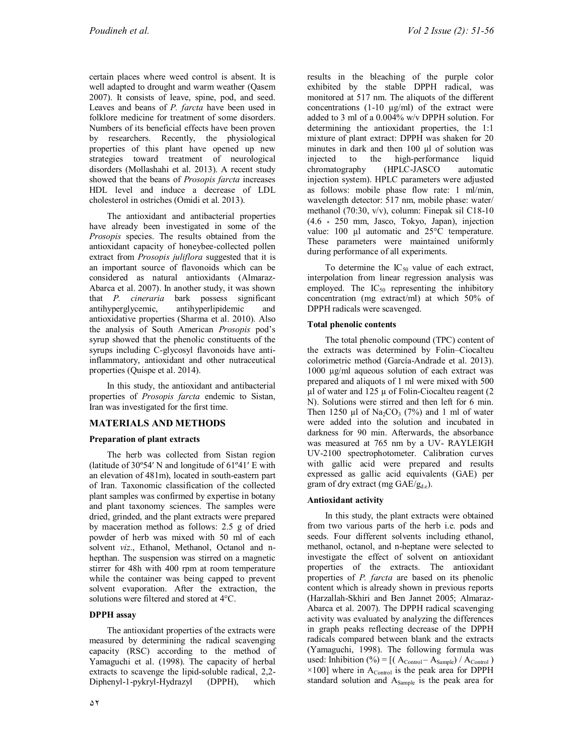certain places where weed control is absent. It is well adapted to drought and warm weather (Qasem 2007). It consists of leave, spine, pod, and seed. Leaves and beans of *P. farcta* have been used in folklore medicine for treatment of some disorders. Numbers of its beneficial effects have been proven by researchers. Recently, the physiological properties of this plant have opened up new strategies toward treatment of neurological disorders (Mollashahi et al. 2013). A recent study showed that the beans of *Prosopis farcta* increases HDL level and induce a decrease of LDL cholesterol in ostriches (Omidi et al. 2013).

The antioxidant and antibacterial properties have already been investigated in some of the *Prosopis* species. The results obtained from the antioxidant capacity of honeybee-collected pollen extract from *Prosopis juliflora* suggested that it is an important source of flavonoids which can be considered as natural antioxidants (Almaraz-Abarca et al. 2007). In another study, it was shown that *P. cineraria* bark possess significant antihyperglycemic, antihyperlipidemic and antioxidative properties (Sharma et al. 2010). Also the analysis of South American *Prosopis* pod's syrup showed that the phenolic constituents of the syrups including C-glycosyl flavonoids have antiinflammatory, antioxidant and other nutraceutical properties (Quispe et al. 2014).

In this study, the antioxidant and antibacterial properties of *Prosopis farcta* endemic to Sistan, Iran was investigated for the first time.

# **MATERIALS AND METHODS**

### **Preparation of plant extracts**

The herb was collected from Sistan region (latitude of  $30^{\circ}54'$  N and longitude of  $61^{\circ}41'$  E with an elevation of 481m), located in south-eastern part of Iran. Taxonomic classification of the collected plant samples was confirmed by expertise in botany and plant taxonomy sciences. The samples were dried, grinded, and the plant extracts were prepared by maceration method as follows: 2.5 g of dried powder of herb was mixed with 50 ml of each solvent *viz*., Ethanol, Methanol, Octanol and nhepthan. The suspension was stirred on a magnetic stirrer for 48h with 400 rpm at room temperature while the container was being capped to prevent solvent evaporation. After the extraction, the solutions were filtered and stored at 4°C.

# **DPPH assay**

The antioxidant properties of the extracts were measured by determining the radical scavenging capacity (RSC) according to the method of Yamaguchi et al. (1998). The capacity of herbal extracts to scavenge the lipid-soluble radical, 2,2- Diphenyl-1-pykryl-Hydrazyl (DPPH), which

results in the bleaching of the purple color exhibited by the stable DPPH radical, was monitored at 517 nm. The aliquots of the different concentrations  $(1-10 \mu g/ml)$  of the extract were added to 3 ml of a 0.004% w/v DPPH solution. For determining the antioxidant properties, the 1:1 mixture of plant extract: DPPH was shaken for 20 minutes in dark and then 100 µl of solution was injected to the high-performance liquid chromatography (HPLC-JASCO automatic injection system). HPLC parameters were adjusted as follows: mobile phase flow rate: 1 ml/min, wavelength detector: 517 nm, mobile phase: water/ methanol (70:30, v/v), column: Finepak sil C18-10 (4.6 \* 250 mm, Jasco, Tokyo, Japan), injection value:  $100 \mu l$  automatic and  $25^{\circ}$ C temperature. These parameters were maintained uniformly during performance of all experiments.

To determine the  $IC_{50}$  value of each extract, interpolation from linear regression analysis was employed. The  $IC_{50}$  representing the inhibitory concentration (mg extract/ml) at which 50% of DPPH radicals were scavenged.

## **Total phenolic contents**

The total phenolic compound (TPC) content of the extracts was determined by Folin–Ciocalteu colorimetric method (García-Andrade et al. 2013). 1000 µg/ml aqueous solution of each extract was prepared and aliquots of 1 ml were mixed with 500  $\mu$ l of water and 125  $\mu$  of Folin-Ciocalteu reagent (2 N). Solutions were stirred and then left for 6 min. Then 1250 µl of Na<sub>2</sub>CO<sub>3</sub> (7%) and 1 ml of water were added into the solution and incubated in darkness for 90 min. Afterwards, the absorbance was measured at 765 nm by a UV- RAYLEIGH UV-2100 spectrophotometer. Calibration curves with gallic acid were prepared and results expressed as gallic acid equivalents (GAE) per gram of dry extract (mg GAE/g<sub>d.e</sub>).

### **Antioxidant activity**

In this study, the plant extracts were obtained from two various parts of the herb i.e. pods and seeds. Four different solvents including ethanol, methanol, octanol, and n-heptane were selected to investigate the effect of solvent on antioxidant properties of the extracts. The antioxidant properties of *P. farcta* are based on its phenolic content which is already shown in previous reports (Harzallah-Skhiri and Ben Jannet 2005; Almaraz-Abarca et al. 2007). The DPPH radical scavenging activity was evaluated by analyzing the differences in graph peaks reflecting decrease of the DPPH radicals compared between blank and the extracts (Yamaguchi, 1998). The following formula was used: Inhibition (%) =  $[(A_{\text{Control}} - A_{\text{Sample}}) / A_{\text{Control}})$  $\times$ 100] where in A<sub>Control</sub> is the peak area for DPPH standard solution and A<sub>Sample</sub> is the peak area for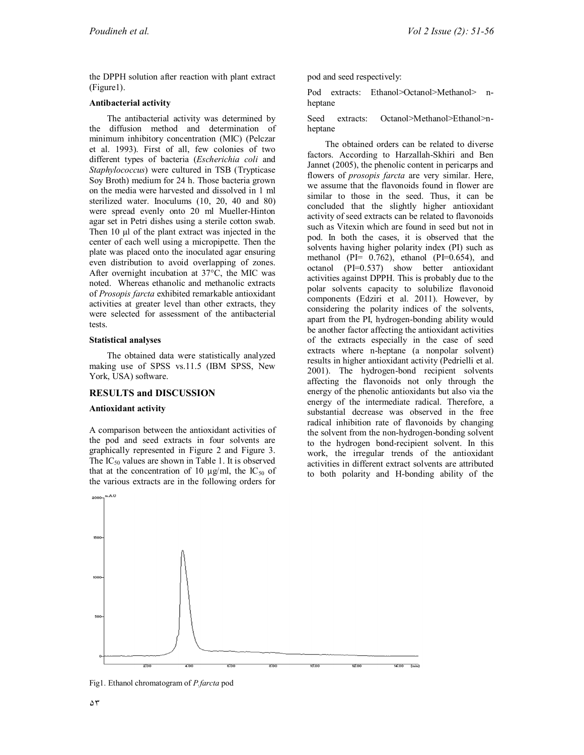the DPPH solution after reaction with plant extract (Figure1).

#### **Antibacterial activity**

The antibacterial activity was determined by the diffusion method and determination of minimum inhibitory concentration (MIC) (Pelczar et al. 1993). First of all, few colonies of two different types of bacteria (*Escherichia coli* and *Staphylococcus*) were cultured in TSB (Trypticase Soy Broth) medium for 24 h. Those bacteria grown on the media were harvested and dissolved in 1 ml sterilized water. Inoculums (10, 20, 40 and 80) were spread evenly onto 20 ml Mueller-Hinton agar set in Petri dishes using a sterile cotton swab. Then 10 µl of the plant extract was injected in the center of each well using a micropipette. Then the plate was placed onto the inoculated agar ensuring even distribution to avoid overlapping of zones. After overnight incubation at 37°C, the MIC was noted. Whereas ethanolic and methanolic extracts of *Prosopis farcta* exhibited remarkable antioxidant activities at greater level than other extracts, they were selected for assessment of the antibacterial tests.

#### **Statistical analyses**

The obtained data were statistically analyzed making use of SPSS vs.11.5 (IBM SPSS, New York, USA) software.

### **RESULTS and DISCUSSION**

#### **Antioxidant activity**

A comparison between the antioxidant activities of the pod and seed extracts in four solvents are graphically represented in Figure 2 and Figure 3. The  $IC_{50}$  values are shown in Table 1. It is observed that at the concentration of 10  $\mu$ g/ml, the IC<sub>50</sub> of the various extracts are in the following orders for

pod and seed respectively:

Pod extracts: Ethanol>Octanol>Methanol> nheptane

Seed extracts: Octanol>Methanol>Ethanol>nheptane

The obtained orders can be related to diverse factors. According to Harzallah-Skhiri and Ben Jannet (2005), the phenolic content in pericarps and flowers of *prosopis farcta* are very similar. Here, we assume that the flavonoids found in flower are similar to those in the seed. Thus, it can be concluded that the slightly higher antioxidant activity of seed extracts can be related to flavonoids such as Vitexin which are found in seed but not in pod. In both the cases, it is observed that the solvents having higher polarity index (PI) such as methanol (PI= 0.762), ethanol (PI=0.654), and octanol (PI=0.537) show better antioxidant activities against DPPH. This is probably due to the polar solvents capacity to solubilize flavonoid components (Edziri et al. 2011). However, by considering the polarity indices of the solvents, apart from the PI, hydrogen-bonding ability would be another factor affecting the antioxidant activities of the extracts especially in the case of seed extracts where n-heptane (a nonpolar solvent) results in higher antioxidant activity (Pedrielli et al. 2001). The hydrogen-bond recipient solvents affecting the flavonoids not only through the energy of the phenolic antioxidants but also via the energy of the intermediate radical. Therefore, a substantial decrease was observed in the free radical inhibition rate of flavonoids by changing the solvent from the non-hydrogen-bonding solvent to the hydrogen bond-recipient solvent. In this work, the irregular trends of the antioxidant activities in different extract solvents are attributed to both polarity and H-bonding ability of the



Fig1. Ethanol chromatogram of *P.farcta* pod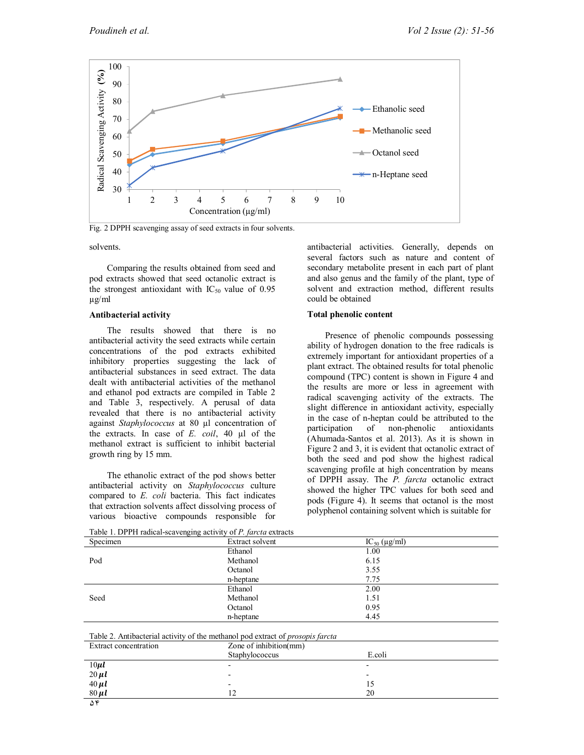

Fig. 2 DPPH scavenging assay of seed extracts in four solvents.

#### solvents.

Comparing the results obtained from seed and pod extracts showed that seed octanolic extract is the strongest antioxidant with  $IC_{50}$  value of 0.95 µg/ml

#### **Antibacterial activity**

The results showed that there is no antibacterial activity the seed extracts while certain concentrations of the pod extracts exhibited inhibitory properties suggesting the lack of antibacterial substances in seed extract. The data dealt with antibacterial activities of the methanol and ethanol pod extracts are compiled in Table 2 and Table 3, respectively. A perusal of data revealed that there is no antibacterial activity against *Staphylococcus* at 80 µl concentration of the extracts. In case of *E. coil*, 40 µl of the methanol extract is sufficient to inhibit bacterial growth ring by 15 mm.

The ethanolic extract of the pod shows better antibacterial activity on *Staphylococcus* culture compared to *E. coli* bacteria. This fact indicates that extraction solvents affect dissolving process of various bioactive compounds responsible for

antibacterial activities. Generally, depends on several factors such as nature and content of secondary metabolite present in each part of plant and also genus and the family of the plant, type of solvent and extraction method, different results could be obtained

#### **Total phenolic content**

Presence of phenolic compounds possessing ability of hydrogen donation to the free radicals is extremely important for antioxidant properties of a plant extract. The obtained results for total phenolic compound (TPC) content is shown in Figure 4 and the results are more or less in agreement with radical scavenging activity of the extracts. The slight difference in antioxidant activity, especially in the case of n-heptan could be attributed to the participation of non-phenolic antioxidants (Ahumada-Santos et al. 2013). As it is shown in Figure 2 and 3, it is evident that octanolic extract of both the seed and pod show the highest radical scavenging profile at high concentration by means of DPPH assay. The *P. farcta* octanolic extract showed the higher TPC values for both seed and pods (Figure 4). It seems that octanol is the most polyphenol containing solvent which is suitable for

| ---o---o --------- <i>y</i>                                                           |                        |                         |  |  |
|---------------------------------------------------------------------------------------|------------------------|-------------------------|--|--|
| Specimen                                                                              | Extract solvent        | $IC_{50}$ ( $\mu$ g/ml) |  |  |
|                                                                                       | Ethanol                | 1.00                    |  |  |
| Pod                                                                                   | Methanol               | 6.15                    |  |  |
|                                                                                       | Octanol                | 3.55                    |  |  |
|                                                                                       | n-heptane              | 7.75                    |  |  |
|                                                                                       | Ethanol                | 2.00                    |  |  |
| Seed                                                                                  | Methanol               | 1.51                    |  |  |
|                                                                                       | Octanol                | 0.95                    |  |  |
|                                                                                       | n-heptane              | 4.45                    |  |  |
|                                                                                       |                        |                         |  |  |
| Table 2. Antibacterial activity of the methanol pod extract of <i>prosopis farcta</i> |                        |                         |  |  |
| Extract concentration                                                                 | Zone of inhibition(mm) |                         |  |  |
|                                                                                       | Staphylococcus         | E.coli                  |  |  |
| $10 \mu l$                                                                            |                        |                         |  |  |
| $20 \mu l$                                                                            |                        |                         |  |  |
| $40 \mu l$                                                                            |                        | 15                      |  |  |
| $80 \mu l$                                                                            | 12                     | 20                      |  |  |
| ۵۴                                                                                    |                        |                         |  |  |

Table 1. DPPH radical-scavenging activity of *P. farcta* extracts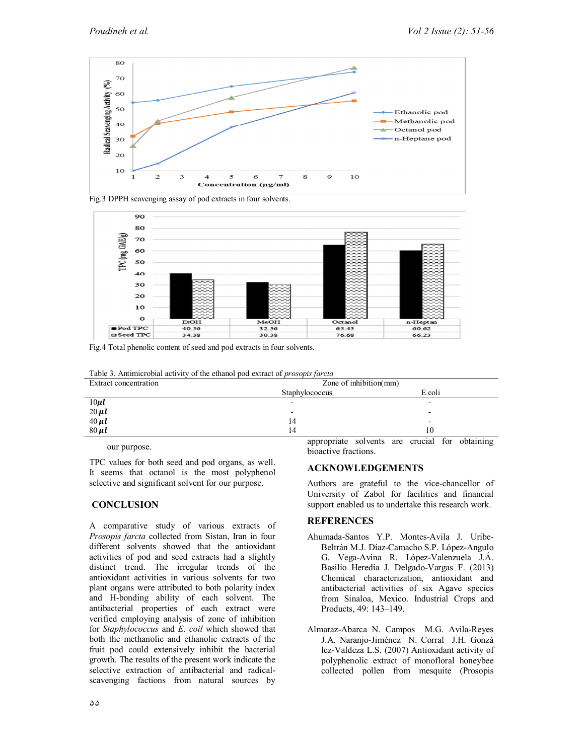





Fig.4 Total phenolic content of seed and pod extracts in four solvents.

Table 3. Antimicrobial activity of the ethanol pod extract of *prosopis farcta*

| Extract concentration                                      | Zone of inhibition(mm) |                                     |
|------------------------------------------------------------|------------------------|-------------------------------------|
|                                                            | Staphylococcus         | E.coli                              |
|                                                            |                        |                                     |
|                                                            | -                      | -                                   |
|                                                            | 14                     | -                                   |
| $\frac{10 \mu l}{20 \mu l}$<br>$\frac{40 \mu l}{80 \mu l}$ | 14                     | 10                                  |
|                                                            |                        | $\cdots$<br>$\cdot$ $\cdot$ $\cdot$ |

our purpose.

TPC values for both seed and pod organs, as well. It seems that octanol is the most polyphenol selective and significant solvent for our purpose.

# **CONCLUSION**

A comparative study of various extracts of *Prosopis farcta* collected from Sistan, Iran in four different solvents showed that the antioxidant activities of pod and seed extracts had a slightly distinct trend. The irregular trends of the antioxidant activities in various solvents for two plant organs were attributed to both polarity index and H-bonding ability of each solvent. The antibacterial properties of each extract were verified employing analysis of zone of inhibition for *Staphylococcus* and *E. coil* which showed that both the methanolic and ethanolic extracts of the fruit pod could extensively inhibit the bacterial growth. The results of the present work indicate the selective extraction of antibacterial and radicalscavenging factions from natural sources by

۵۵

appropriate solvents are crucial for obtaining bioactive fractions.

# **ACKNOWLEDGEMENTS**

Authors are grateful to the vice-chancellor of University of Zabol for facilities and financial support enabled us to undertake this research work.

# **REFERENCES**

- Ahumada-Santos Y.P. Montes-Avila J. Uribe-Beltrán M.J. Díaz-Camacho S.P. López-Angulo G. Vega-Avina R. López-Valenzuela J.Á. Basilio Heredia J. Delgado-Vargas F. (2013) Chemical characterization, antioxidant and antibacterial activities of six Agave species from Sinaloa, Mexico. Industrial Crops and Products, 49: 143–149.
- Almaraz-Abarca N. Campos M.G. Avila-Reyes J.A. Naranjo-Jiménez N. Corral J.H. Gonzá lez-Valdeza L.S. (2007) Antioxidant activity of polyphenolic extract of monofloral honeybee collected pollen from mesquite (Prosopis